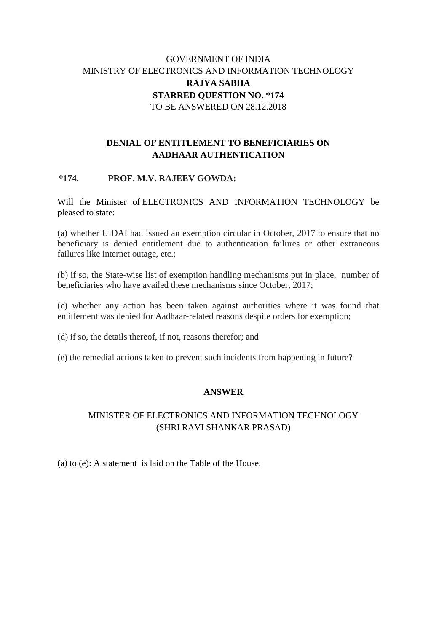# GOVERNMENT OF INDIA MINISTRY OF ELECTRONICS AND INFORMATION TECHNOLOGY **RAJYA SABHA STARRED QUESTION NO. \*174** TO BE ANSWERED ON 28.12.2018

## **DENIAL OF ENTITLEMENT TO BENEFICIARIES ON AADHAAR AUTHENTICATION**

#### **\*174. PROF. M.V. RAJEEV GOWDA:**

Will the Minister of ELECTRONICS AND INFORMATION TECHNOLOGY be pleased to state:

(a) whether UIDAI had issued an exemption circular in October, 2017 to ensure that no beneficiary is denied entitlement due to authentication failures or other extraneous failures like internet outage, etc.;

(b) if so, the State-wise list of exemption handling mechanisms put in place, number of beneficiaries who have availed these mechanisms since October, 2017;

(c) whether any action has been taken against authorities where it was found that entitlement was denied for Aadhaar-related reasons despite orders for exemption;

(d) if so, the details thereof, if not, reasons therefor; and

(e) the remedial actions taken to prevent such incidents from happening in future?

#### **ANSWER**

### MINISTER OF ELECTRONICS AND INFORMATION TECHNOLOGY (SHRI RAVI SHANKAR PRASAD)

(a) to (e): A statement is laid on the Table of the House.